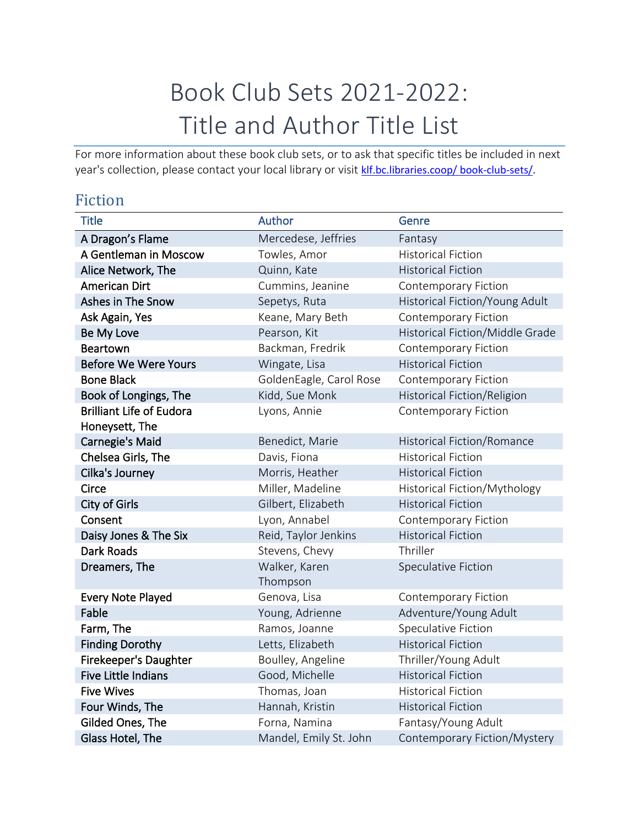## Book Club Sets 2021-2022: Title and Author Title List

For more information about these book club sets, or to ask that specific titles be included in next year's collection, please contact your local library or visit [klf.bc.libraries.coop/ book-club-sets/.](https://klf.bc.libraries.coop/member-support/book-club-sets/)

## Fiction

| <b>Title</b>                    | Author                  | Genre                             |
|---------------------------------|-------------------------|-----------------------------------|
| A Dragon's Flame                | Mercedese, Jeffries     | Fantasy                           |
| A Gentleman in Moscow           | Towles, Amor            | <b>Historical Fiction</b>         |
| Alice Network, The              | Quinn, Kate             | <b>Historical Fiction</b>         |
| <b>American Dirt</b>            | Cummins, Jeanine        | <b>Contemporary Fiction</b>       |
| Ashes in The Snow               | Sepetys, Ruta           | Historical Fiction/Young Adult    |
| Ask Again, Yes                  | Keane, Mary Beth        | <b>Contemporary Fiction</b>       |
| Be My Love                      | Pearson, Kit            | Historical Fiction/Middle Grade   |
| <b>Beartown</b>                 | Backman, Fredrik        | <b>Contemporary Fiction</b>       |
| <b>Before We Were Yours</b>     | Wingate, Lisa           | <b>Historical Fiction</b>         |
| <b>Bone Black</b>               | GoldenEagle, Carol Rose | Contemporary Fiction              |
| Book of Longings, The           | Kidd, Sue Monk          | Historical Fiction/Religion       |
| <b>Brilliant Life of Eudora</b> | Lyons, Annie            | <b>Contemporary Fiction</b>       |
| Honeysett, The                  |                         |                                   |
| <b>Carnegie's Maid</b>          | Benedict, Marie         | <b>Historical Fiction/Romance</b> |
| Chelsea Girls, The              | Davis, Fiona            | <b>Historical Fiction</b>         |
| Cilka's Journey                 | Morris, Heather         | <b>Historical Fiction</b>         |
| Circe                           | Miller, Madeline        | Historical Fiction/Mythology      |
| <b>City of Girls</b>            | Gilbert, Elizabeth      | <b>Historical Fiction</b>         |
| Consent                         | Lyon, Annabel           | Contemporary Fiction              |
| Daisy Jones & The Six           | Reid, Taylor Jenkins    | <b>Historical Fiction</b>         |
| Dark Roads                      | Stevens, Chevy          | Thriller                          |
| Dreamers, The                   | Walker, Karen           | Speculative Fiction               |
|                                 | Thompson                |                                   |
| <b>Every Note Played</b>        | Genova, Lisa            | <b>Contemporary Fiction</b>       |
| Fable                           | Young, Adrienne         | Adventure/Young Adult             |
| Farm, The                       | Ramos, Joanne           | <b>Speculative Fiction</b>        |
| <b>Finding Dorothy</b>          | Letts, Elizabeth        | <b>Historical Fiction</b>         |
| Firekeeper's Daughter           | Boulley, Angeline       | Thriller/Young Adult              |
| <b>Five Little Indians</b>      | Good, Michelle          | <b>Historical Fiction</b>         |
| <b>Five Wives</b>               | Thomas, Joan            | <b>Historical Fiction</b>         |
| Four Winds, The                 | Hannah, Kristin         | <b>Historical Fiction</b>         |
| Gilded Ones, The                | Forna, Namina           | Fantasy/Young Adult               |
| Glass Hotel, The                | Mandel, Emily St. John  | Contemporary Fiction/Mystery      |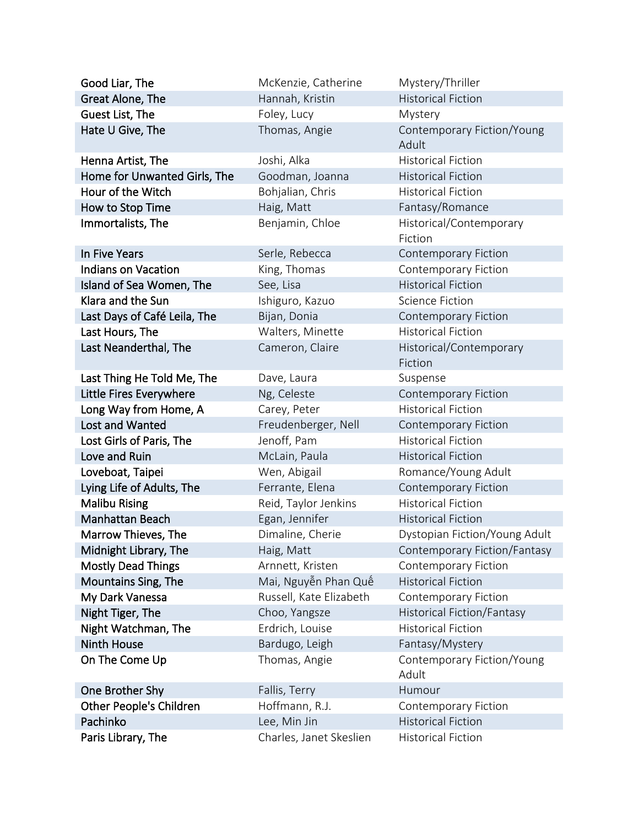| Good Liar, The               | McKenzie, Catherine     | Mystery/Thriller                    |
|------------------------------|-------------------------|-------------------------------------|
| Great Alone, The             | Hannah, Kristin         | <b>Historical Fiction</b>           |
| Guest List, The              | Foley, Lucy             | Mystery                             |
| Hate U Give, The             | Thomas, Angie           | Contemporary Fiction/Young<br>Adult |
| Henna Artist, The            | Joshi, Alka             | <b>Historical Fiction</b>           |
| Home for Unwanted Girls, The | Goodman, Joanna         | <b>Historical Fiction</b>           |
| Hour of the Witch            | Bohjalian, Chris        | <b>Historical Fiction</b>           |
| How to Stop Time             | Haig, Matt              | Fantasy/Romance                     |
| Immortalists, The            | Benjamin, Chloe         | Historical/Contemporary<br>Fiction  |
| In Five Years                | Serle, Rebecca          | <b>Contemporary Fiction</b>         |
| <b>Indians on Vacation</b>   | King, Thomas            | <b>Contemporary Fiction</b>         |
| Island of Sea Women, The     | See, Lisa               | <b>Historical Fiction</b>           |
| Klara and the Sun            | Ishiguro, Kazuo         | <b>Science Fiction</b>              |
| Last Days of Café Leila, The | Bijan, Donia            | <b>Contemporary Fiction</b>         |
| Last Hours, The              | Walters, Minette        | <b>Historical Fiction</b>           |
| Last Neanderthal, The        | Cameron, Claire         | Historical/Contemporary<br>Fiction  |
| Last Thing He Told Me, The   | Dave, Laura             | Suspense                            |
| Little Fires Everywhere      | Ng, Celeste             | <b>Contemporary Fiction</b>         |
| Long Way from Home, A        | Carey, Peter            | <b>Historical Fiction</b>           |
| Lost and Wanted              | Freudenberger, Nell     | <b>Contemporary Fiction</b>         |
| Lost Girls of Paris, The     | Jenoff, Pam             | <b>Historical Fiction</b>           |
| Love and Ruin                | McLain, Paula           | <b>Historical Fiction</b>           |
| Loveboat, Taipei             | Wen, Abigail            | Romance/Young Adult                 |
| Lying Life of Adults, The    | Ferrante, Elena         | <b>Contemporary Fiction</b>         |
| <b>Malibu Rising</b>         | Reid, Taylor Jenkins    | <b>Historical Fiction</b>           |
| Manhattan Beach              | Egan, Jennifer          | <b>Historical Fiction</b>           |
| Marrow Thieves, The          | Dimaline, Cherie        | Dystopian Fiction/Young Adult       |
| Midnight Library, The        | Haig, Matt              | Contemporary Fiction/Fantasy        |
| <b>Mostly Dead Things</b>    | Arnnett, Kristen        | <b>Contemporary Fiction</b>         |
| Mountains Sing, The          | Mai, Nguyễn Phan Quê    | <b>Historical Fiction</b>           |
| My Dark Vanessa              | Russell, Kate Elizabeth | <b>Contemporary Fiction</b>         |
| Night Tiger, The             | Choo, Yangsze           | <b>Historical Fiction/Fantasy</b>   |
| Night Watchman, The          | Erdrich, Louise         | <b>Historical Fiction</b>           |
| <b>Ninth House</b>           | Bardugo, Leigh          | Fantasy/Mystery                     |
| On The Come Up               | Thomas, Angie           | Contemporary Fiction/Young<br>Adult |
| One Brother Shy              | Fallis, Terry           | Humour                              |
| Other People's Children      | Hoffmann, R.J.          | <b>Contemporary Fiction</b>         |
| Pachinko                     | Lee, Min Jin            | <b>Historical Fiction</b>           |
| Paris Library, The           | Charles, Janet Skeslien | <b>Historical Fiction</b>           |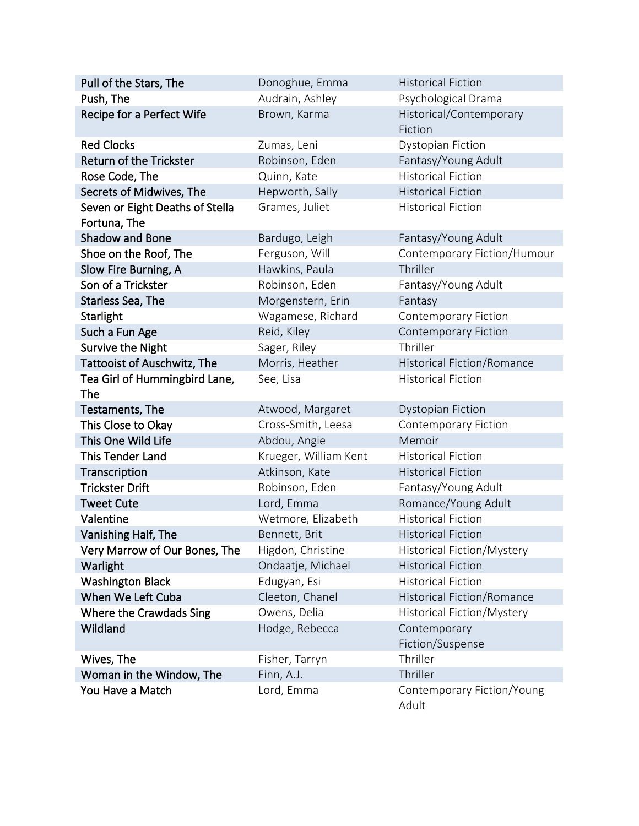| Pull of the Stars, The               | Donoghue, Emma        | <b>Historical Fiction</b>           |  |
|--------------------------------------|-----------------------|-------------------------------------|--|
| Push, The                            | Audrain, Ashley       | Psychological Drama                 |  |
| Recipe for a Perfect Wife            | Brown, Karma          | Historical/Contemporary<br>Fiction  |  |
| <b>Red Clocks</b>                    | Zumas, Leni           | <b>Dystopian Fiction</b>            |  |
| <b>Return of the Trickster</b>       | Robinson, Eden        | Fantasy/Young Adult                 |  |
| Rose Code, The                       | Quinn, Kate           | <b>Historical Fiction</b>           |  |
| Secrets of Midwives, The             | Hepworth, Sally       | <b>Historical Fiction</b>           |  |
| Seven or Eight Deaths of Stella      | Grames, Juliet        | <b>Historical Fiction</b>           |  |
| Fortuna, The                         |                       |                                     |  |
| <b>Shadow and Bone</b>               | Bardugo, Leigh        | Fantasy/Young Adult                 |  |
| Shoe on the Roof, The                | Ferguson, Will        | Contemporary Fiction/Humour         |  |
| Slow Fire Burning, A                 | Hawkins, Paula        | Thriller                            |  |
| Son of a Trickster                   | Robinson, Eden        | Fantasy/Young Adult                 |  |
| Starless Sea, The                    | Morgenstern, Erin     | Fantasy                             |  |
| <b>Starlight</b>                     | Wagamese, Richard     | <b>Contemporary Fiction</b>         |  |
| Such a Fun Age                       | Reid, Kiley           | <b>Contemporary Fiction</b>         |  |
| <b>Survive the Night</b>             | Sager, Riley          | Thriller                            |  |
| <b>Tattooist of Auschwitz, The</b>   | Morris, Heather       | <b>Historical Fiction/Romance</b>   |  |
| Tea Girl of Hummingbird Lane,<br>The | See, Lisa             | <b>Historical Fiction</b>           |  |
| Testaments, The                      | Atwood, Margaret      | <b>Dystopian Fiction</b>            |  |
| This Close to Okay                   | Cross-Smith, Leesa    | Contemporary Fiction                |  |
| This One Wild Life                   | Abdou, Angie          | Memoir                              |  |
| <b>This Tender Land</b>              | Krueger, William Kent | <b>Historical Fiction</b>           |  |
| Transcription                        | Atkinson, Kate        | <b>Historical Fiction</b>           |  |
| <b>Trickster Drift</b>               | Robinson, Eden        | Fantasy/Young Adult                 |  |
| <b>Tweet Cute</b>                    | Lord, Emma            | Romance/Young Adult                 |  |
| Valentine                            | Wetmore, Elizabeth    | <b>Historical Fiction</b>           |  |
| Vanishing Half, The                  | Bennett, Brit         | <b>Historical Fiction</b>           |  |
| Very Marrow of Our Bones, The        | Higdon, Christine     | Historical Fiction/Mystery          |  |
| Warlight                             | Ondaatje, Michael     | <b>Historical Fiction</b>           |  |
| <b>Washington Black</b>              | Edugyan, Esi          | <b>Historical Fiction</b>           |  |
| When We Left Cuba                    | Cleeton, Chanel       | Historical Fiction/Romance          |  |
| Where the Crawdads Sing              | Owens, Delia          | Historical Fiction/Mystery          |  |
| Wildland                             | Hodge, Rebecca        | Contemporary<br>Fiction/Suspense    |  |
| Wives, The                           | Fisher, Tarryn        | Thriller                            |  |
| Woman in the Window, The             | Finn, A.J.            | Thriller                            |  |
| You Have a Match                     | Lord, Emma            | Contemporary Fiction/Young<br>Adult |  |